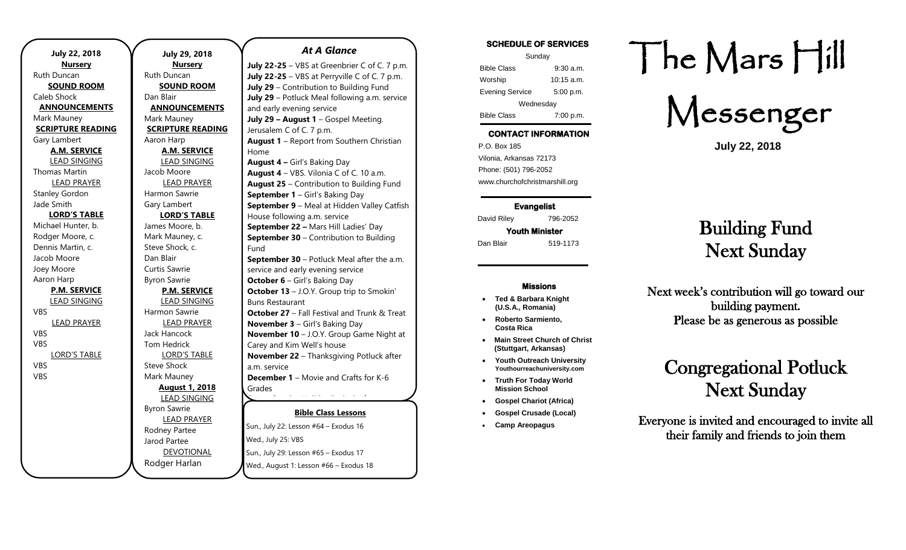| <b>July 22, 2018</b><br><b>Nursery</b> | <b>July 29, 20</b><br><b>Nursery</b> |
|----------------------------------------|--------------------------------------|
| <b>Ruth Duncan</b>                     | <b>Ruth Duncan</b>                   |
| <b>SOUND ROOM</b>                      | <b>SOUND RO</b>                      |
| Caleb Shock                            | Dan Blair                            |
| <b>ANNOUNCEMENTS</b>                   | <b>ANNOUNCEM</b>                     |
| Mark Mauney                            | Mark Mauney                          |
| <b>SCRIPTURE READING</b>               | <b>SCRIPTURE RE</b>                  |
| Gary Lambert                           | Aaron Harp                           |
| <b>A.M. SERVICE</b>                    | A.M. SERVI                           |
| <b>LEAD SINGING</b>                    | <b>LEAD SINGI</b>                    |
| <b>Thomas Martin</b>                   | Jacob Moore                          |
| <b>LEAD PRAYER</b>                     | <b>LEAD PRAY</b>                     |
| <b>Stanley Gordon</b>                  | Harmon Sawrie                        |
| Jade Smith                             | Gary Lambert                         |
| <b>LORD'S TABLE</b>                    | <b>LORD'S TAI</b>                    |
| Michael Hunter, b.                     | James Moore, b.                      |
| Rodger Moore, c.                       | Mark Mauney, c.                      |
| Dennis Martin, c.                      | Steve Shock, c.                      |
| Jacob Moore                            | Dan Blair                            |
| Joey Moore                             | Curtis Sawrie                        |
| Aaron Harp                             | <b>Byron Sawrie</b>                  |
| <b>P.M. SERVICE</b>                    | P.M. SERVI                           |
| <b>LEAD SINGING</b>                    | <b>LEAD SINGI</b>                    |
| VBS                                    | Harmon Sawrie                        |
| <u>LEAD PRAYER</u>                     | <b>LEAD PRAY</b>                     |
| VBS                                    | Jack Hancock                         |
| VBS                                    | <b>Tom Hedrick</b>                   |
| <b>LORD'S TABLE</b>                    | <b>LORD'S TAE</b>                    |
| VBS                                    | <b>Steve Shock</b>                   |
| VBS                                    | Mark Mauney                          |
|                                        | <b>August 1, 2</b>                   |
|                                        | <b>LEAD SINGI</b>                    |
|                                        | <b>Byron Sawrie</b>                  |
|                                        | <b>LEAD PRAY</b>                     |
|                                        | Rodney Partee                        |
|                                        | Jarod Partee                         |
|                                        | <b>DEVOTION</b>                      |
|                                        | Rodger Harlan                        |

**July 29, 2018 Nursery** can **ND ROOM UNCEMENTS** uney **JRE READING**  $np$ **A.M. SERVICE** D SINGING ore D PRAYER Sawrie bert D'S TABLE pore, b. uney, c. ock, c. wrie wrie **P.M. SERVICE** D SINGING Sawrie D PRAYER  $\operatorname{\textsf{cock}}$ rick D'S TABLE  $\mathsf{C}$ uney **August 1, 2018 D SINGING** wrie D PRAYER 'artee tee **OTIONAL** *At A Glance*  **July 22-25** – VBS at Greenbrier C of C. 7 p.m. **July 22-25** – VBS at Perryville C of C. 7 p.m. **July 29** – Contribution to Building Fund **July 29** – Potluck Meal following a.m. service and early evening service **July 29 – August 1** – Gospel Meeting. Jerusalem C of C. 7 p.m. Home Fund a.m. service Grades

**Bible Class Lessons** Sun., July 22: Lesson #64 – Exodus 16 Wed., July 25: VBS Sun., July 29: Lesson #65 – Exodus 17 **August 1** – Report from Southern Christian **August 4 –** Girl's Baking Day **August 4** – VBS. Vilonia C of C. 10 a.m. **August 25** – Contribution to Building Fund **September 1** – Girl's Baking Day **September 9** – Meal at Hidden Valley Catfish House following a.m. service **September 22 –** Mars Hill Ladies' Day **September 30 – Contribution to Building September 30** – Potluck Meal after the a.m. service and early evening service **October 6** – Girl's Baking Day **October 13** – J.O.Y. Group trip to Smokin' Buns Restaurant **October 27** – Fall Festival and Trunk & Treat **November 3** – Girl's Baking Day **November 10** – J.O.Y. Group Game Night at Carey and Kim Well's house **November 22** – Thanksgiving Potluck after **December 1** – Movie and Crafts for K-6 **December 8** – Holiday Potluck after a.m.

Wed., August 1: Lesson #66 – Exodus 18

#### **SCHEDULE OF SERVICES**

| Sunday                 |             |  |
|------------------------|-------------|--|
| <b>Bible Class</b>     | $9:30$ a.m. |  |
| Worship                | 10:15 a.m.  |  |
| <b>Evening Service</b> | 5:00 p.m.   |  |
| Wednesday              |             |  |
| <b>Bible Class</b>     | 7:00 p.m.   |  |

## **CONTACT INFORMATION**

. .o. Box 166<br>Vilonia, Arkansas 72173 P.O. Box 185 Phone: (501) 796-2052 www.churchofchristmarshill.org

**Evangelist**  David Riley 796-2052 **Youth Minister** 

Dan Blair 519-1173

#### **Missions**

- **Ted & Barbara Knight (U.S.A., Romania)**
- **Roberto Sarmiento, Costa Rica**
- **Main Street Church of Christ (Stuttgart, Arkansas)**
- **Youth Outreach University Youthourreachuniversity.com**
- **Truth For Today World Mission School**
- **Gospel Chariot (Africa)**
- **Gospel Crusade (Local)**
- **Camp Areopagus**

# The Mars Hill

Messenger

**July 22, 2018**

# Building Fund Next Sunday

Next week's contribution will go toward our building payment. Please be as generous as possible

# Congregational Potluck Next Sunday

Everyone is invited and encouraged to invite all their family and friends to join them